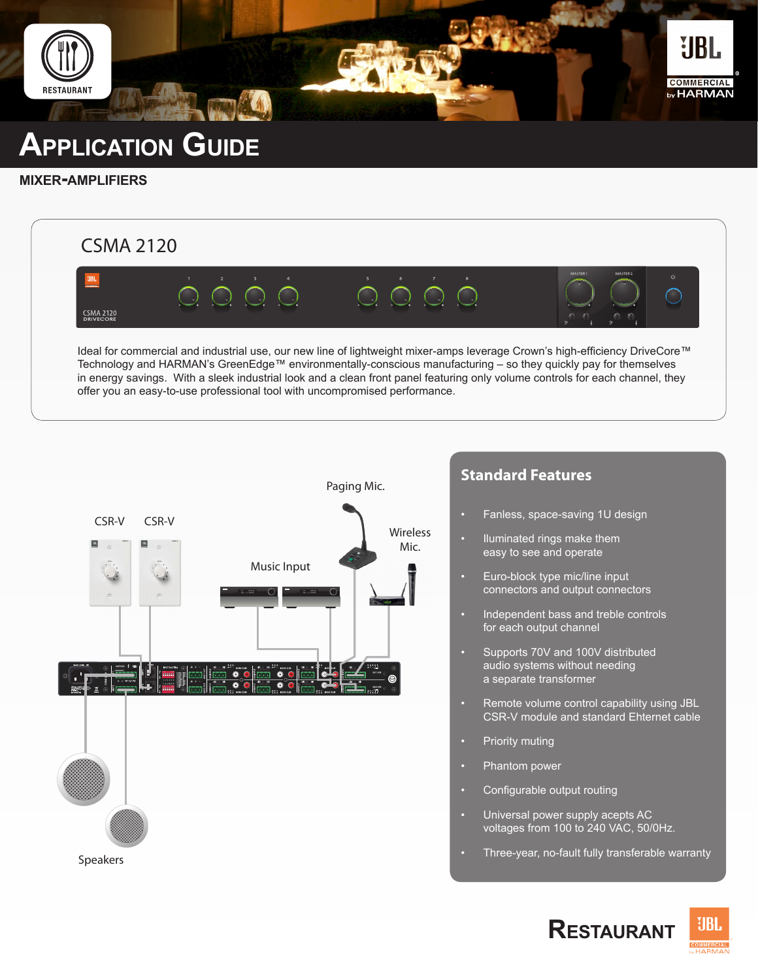

# **Application Guide**

#### **mixer-amplifiers**



Ideal for commercial and industrial use, our new line of lightweight mixer-amps leverage Crown's high-efficiency DriveCore™ Technology and HARMAN's GreenEdge™ environmentally-conscious manufacturing – so they quickly pay for themselves in energy savings. With a sleek industrial look and a clean front panel featuring only volume controls for each channel, they offer you an easy-to-use professional tool with uncompromised performance.



## **Standard Features**

- Fanless, space-saving 1U design
- Iluminated rings make them easy to see and operate
- Euro-block type mic/line input connectors and output connectors
- Independent bass and treble controls for each output channel
- Supports 70V and 100V distributed audio systems without needing a separate transformer
- Remote volume control capability using JBL CSR-V module and standard Ehternet cable
- Priority muting
- Phantom power
- Configurable output routing
- Universal power supply acepts AC voltages from 100 to 240 VAC, 50/0Hz.
- Three-year, no-fault fully transferable warranty